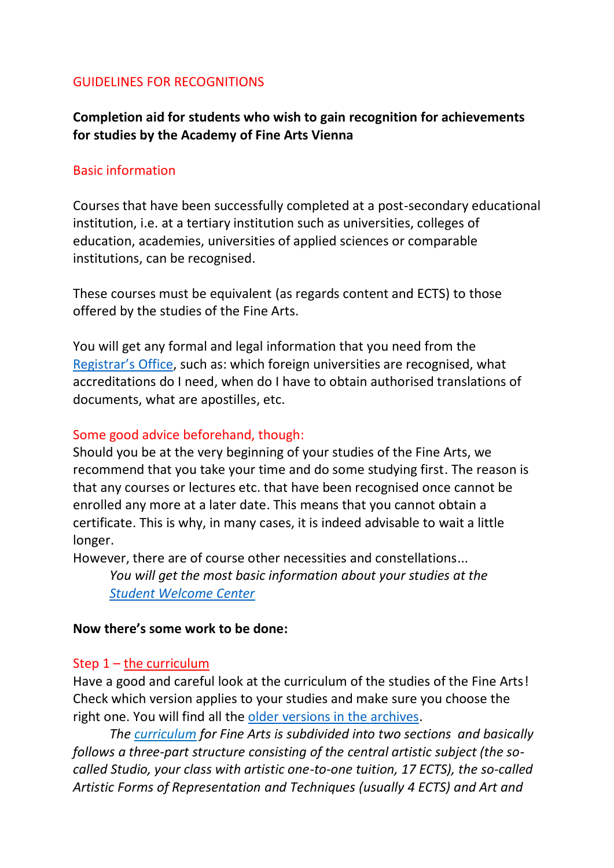#### GUIDELINES FOR RECOGNITIONS

**Completion aid for students who wish to gain recognition for achievements for studies by the Academy of Fine Arts Vienna**

#### Basic information

Courses that have been successfully completed at a post-secondary educational institution, i.e. at a tertiary institution such as universities, colleges of education, academies, universities of applied sciences or comparable institutions, can be recognised.

These courses must be equivalent (as regards content and ECTS) to those offered by the studies of the Fine Arts.

You will get any formal and legal information that you need from the [Registrar's Off](mailto:studienabteilung@akbild.ac.at)ice, such as: which foreign universities are recognised, what accreditations do I need, when do I have to obtain authorised translations of documents, what are apostilles, etc.

#### Some good advice beforehand, though:

Should you be at the very beginning of your studies of the Fine Arts, we recommend that you take your time and do some studying first. The reason is that any courses or lectures etc. that have been recognised once cannot be enrolled any more at a later date. This means that you cannot obtain a certificate. This is why, in many cases, it is indeed advisable to wait a little longer.

However, there are of course other necessities and constellations... *You will get the most basic information about your studies at the [Student Welcome Center](mailto:studentwelcome@akbild.ac.at)*

#### **Now there's some work to be done:**

#### Step 1 – the curriculum

Have a good and careful look at the curriculum of the studies of the Fine Arts! Check which version applies to your studies and make sure you choose the right one. You will find all the [older versions in the archives.](https://www.akbild.ac.at/portal_en/studies/study-programs/fine-arts/fine-arts?set_language=en&cl=en)

*The curriculum for Fine Arts is subdivided into two sections and basically follows a three-part structure consisting of the central artistic subject (the socalled Studio, your class with artistic one-to-one tuition, 17 ECTS), the so-called Artistic Forms of Representation and Techniques (usually 4 ECTS) and Art and*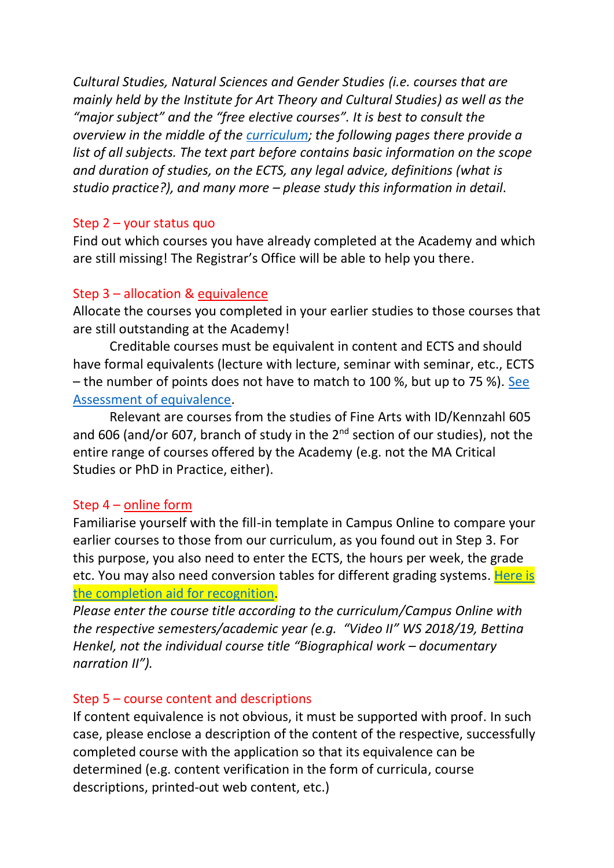*Cultural Studies, Natural Sciences and Gender Studies (i.e. courses that are mainly held by the Institute for Art Theory and Cultural Studies) as well as the "major subject" and the "free elective courses". It is best to consult the overview in the middle of the [curriculum;](https://www.akbild.ac.at/portal_en/studies/study-programs/fine-arts/EnglishVersion_CurriculumFineArts_2019.pdf) the following pages there provide a list of all subjects. The text part before contains basic information on the scope and duration of studies, on the ECTS, any legal advice, definitions (what is studio practice?), and many more – please study this information in detail.* 

### Step 2 – your status quo

Find out which courses you have already completed at the Academy and which are still missing! The Registrar's Office will be able to help you there.

# Step 3 – allocation & equivalence

Allocate the courses you completed in your earlier studies to those courses that are still outstanding at the Academy!

Creditable courses must be equivalent in content and ECTS and should have formal equivalents (lecture with lecture, seminar with seminar, etc., ECTS – the number of points does not have to match to 100 %, but up to 75 %). [See](https://www.akbild.ac.at/portal_en/studies/study-programs/fine-arts/Assessment%20of%20equivalence%20-%20Fine%20Arts.pdf)  [Assessment of equivalence.](https://www.akbild.ac.at/portal_en/studies/study-programs/fine-arts/Assessment%20of%20equivalence%20-%20Fine%20Arts.pdf)

Relevant are courses from the studies of Fine Arts with ID/Kennzahl 605 and 606 (and/or 607, branch of study in the  $2^{nd}$  section of our studies), not the entire range of courses offered by the Academy (e.g. not the MA Critical Studies or PhD in Practice, either).

# Step 4 – online form

Familiarise yourself with the fill-in template in Campus Online to compare your earlier courses to those from our curriculum, as you found out in Step 3. For this purpose, you also need to enter the ECTS, the hours per week, the grade etc. You may also need conversion tables for different grading systems. Here is the completion aid for recognition.

*Please enter the course title according to the curriculum/Campus Online with the respective semesters/academic year (e.g. "Video II" WS 2018/19, Bettina Henkel, not the individual course title "Biographical work – documentary narration II").* 

# Step 5 – course content and descriptions

If content equivalence is not obvious, it must be supported with proof. In such case, please enclose a description of the content of the respective, successfully completed course with the application so that its equivalence can be determined (e.g. content verification in the form of curricula, course descriptions, printed-out web content, etc.)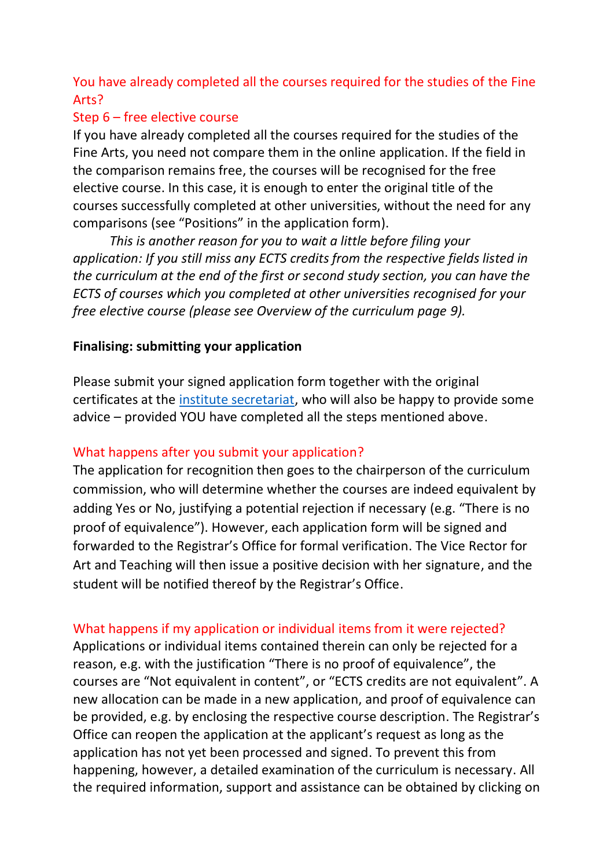# You have already completed all the courses required for the studies of the Fine Arts?

## Step 6 – free elective course

If you have already completed all the courses required for the studies of the Fine Arts, you need not compare them in the online application. If the field in the comparison remains free, the courses will be recognised for the free elective course. In this case, it is enough to enter the original title of the courses successfully completed at other universities, without the need for any comparisons (see "Positions" in the application form).

*This is another reason for you to wait a little before filing your application: If you still miss any ECTS credits from the respective fields listed in the curriculum at the end of the first or second study section, you can have the ECTS of courses which you completed at other universities recognised for your free elective course (please see Overview of the curriculum page 9).* 

### **Finalising: submitting your application**

Please submit your signed application form together with the original certificates at the [institute secretariat,](https://www.akbild.ac.at/portal_en/institutes/fine-arts/fine-arts-1?set_language=en&cl=en) who will also be happy to provide some advice – provided YOU have completed all the steps mentioned above.

### What happens after you submit your application?

The application for recognition then goes to the chairperson of the curriculum commission, who will determine whether the courses are indeed equivalent by adding Yes or No, justifying a potential rejection if necessary (e.g. "There is no proof of equivalence"). However, each application form will be signed and forwarded to the Registrar's Office for formal verification. The Vice Rector for Art and Teaching will then issue a positive decision with her signature, and the student will be notified thereof by the Registrar's Office.

# What happens if my application or individual items from it were rejected?

Applications or individual items contained therein can only be rejected for a reason, e.g. with the justification "There is no proof of equivalence", the courses are "Not equivalent in content", or "ECTS credits are not equivalent". A new allocation can be made in a new application, and proof of equivalence can be provided, e.g. by enclosing the respective course description. The Registrar's Office can reopen the application at the applicant's request as long as the application has not yet been processed and signed. To prevent this from happening, however, a detailed examination of the curriculum is necessary. All the required information, support and assistance can be obtained by clicking on